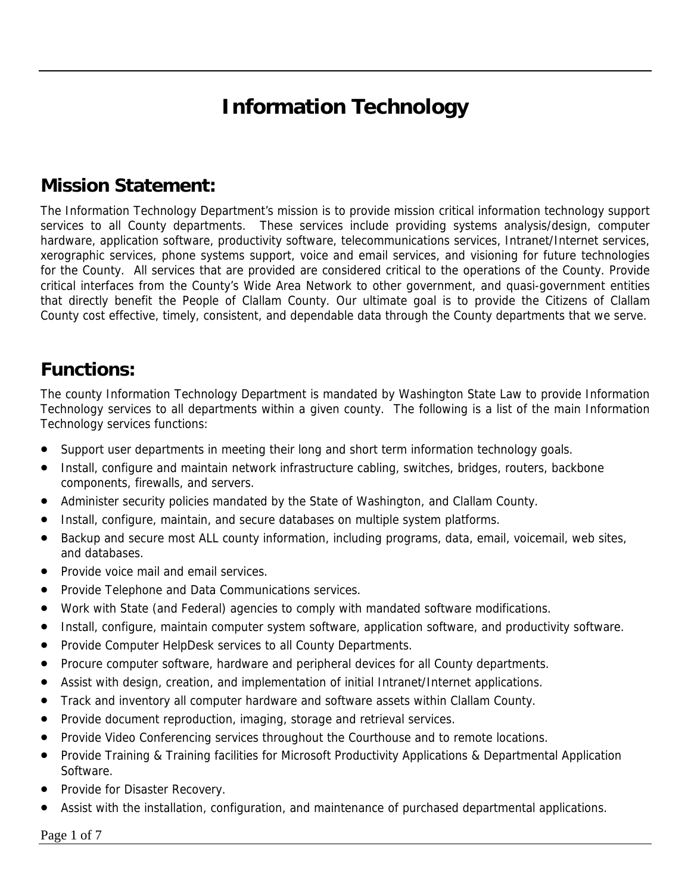# **Information Technology**

### **Mission Statement:**

The Information Technology Department's mission is to provide mission critical information technology support services to all County departments. These services include providing systems analysis/design, computer hardware, application software, productivity software, telecommunications services, Intranet/Internet services, xerographic services, phone systems support, voice and email services, and visioning for future technologies for the County. All services that are provided are considered critical to the operations of the County. Provide critical interfaces from the County's Wide Area Network to other government, and quasi-government entities that directly benefit the People of Clallam County. Our ultimate goal is to provide the Citizens of Clallam County cost effective, timely, consistent, and dependable data through the County departments that we serve.

#### **Functions:**

The county Information Technology Department is mandated by Washington State Law to provide Information Technology services to all departments within a given county. The following is a list of the main Information Technology services functions:

- Support user departments in meeting their long and short term information technology goals.
- Install, configure and maintain network infrastructure cabling, switches, bridges, routers, backbone components, firewalls, and servers.
- Administer security policies mandated by the State of Washington, and Clallam County.
- Install, configure, maintain, and secure databases on multiple system platforms.
- Backup and secure most ALL county information, including programs, data, email, voicemail, web sites, and databases.
- Provide voice mail and email services.
- Provide Telephone and Data Communications services.
- Work with State (and Federal) agencies to comply with mandated software modifications.
- Install, configure, maintain computer system software, application software, and productivity software.
- Provide Computer HelpDesk services to all County Departments.
- Procure computer software, hardware and peripheral devices for all County departments.
- Assist with design, creation, and implementation of initial Intranet/Internet applications.
- Track and inventory all computer hardware and software assets within Clallam County.
- Provide document reproduction, imaging, storage and retrieval services.
- Provide Video Conferencing services throughout the Courthouse and to remote locations.
- Provide Training & Training facilities for Microsoft Productivity Applications & Departmental Application Software.
- Provide for Disaster Recovery.
- Assist with the installation, configuration, and maintenance of purchased departmental applications.

Page 1 of 7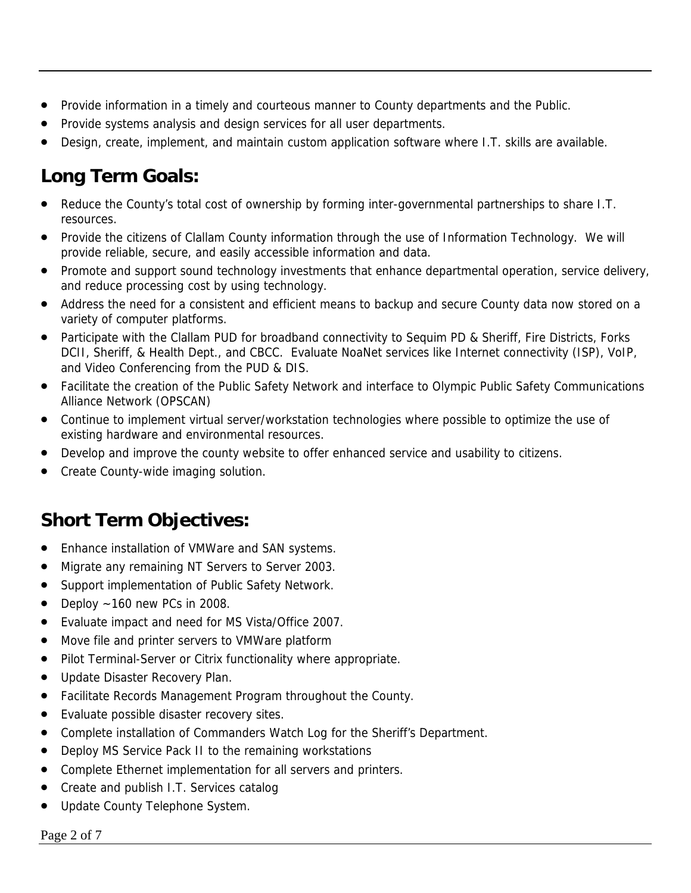- Provide information in a timely and courteous manner to County departments and the Public.
- Provide systems analysis and design services for all user departments.
- Design, create, implement, and maintain custom application software where I.T. skills are available.

## **Long Term Goals:**

- Reduce the County's total cost of ownership by forming inter-governmental partnerships to share I.T. resources.
- Provide the citizens of Clallam County information through the use of Information Technology. We will provide reliable, secure, and easily accessible information and data.
- Promote and support sound technology investments that enhance departmental operation, service delivery, and reduce processing cost by using technology.
- Address the need for a consistent and efficient means to backup and secure County data now stored on a variety of computer platforms.
- Participate with the Clallam PUD for broadband connectivity to Sequim PD & Sheriff, Fire Districts, Forks DCII, Sheriff, & Health Dept., and CBCC. Evaluate NoaNet services like Internet connectivity (ISP), VoIP, and Video Conferencing from the PUD & DIS.
- Facilitate the creation of the Public Safety Network and interface to Olympic Public Safety Communications Alliance Network (OPSCAN)
- Continue to implement virtual server/workstation technologies where possible to optimize the use of existing hardware and environmental resources.
- Develop and improve the county website to offer enhanced service and usability to citizens.
- Create County-wide imaging solution.

### **Short Term Objectives:**

- Enhance installation of VMWare and SAN systems.
- Migrate any remaining NT Servers to Server 2003.
- Support implementation of Public Safety Network.
- Deploy  $\sim$  160 new PCs in 2008.
- Evaluate impact and need for MS Vista/Office 2007.
- Move file and printer servers to VMWare platform
- Pilot Terminal-Server or Citrix functionality where appropriate.
- Update Disaster Recovery Plan.
- Facilitate Records Management Program throughout the County.
- Evaluate possible disaster recovery sites.
- Complete installation of Commanders Watch Log for the Sheriff's Department.
- Deploy MS Service Pack II to the remaining workstations
- Complete Ethernet implementation for all servers and printers.
- Create and publish I.T. Services catalog
- Update County Telephone System.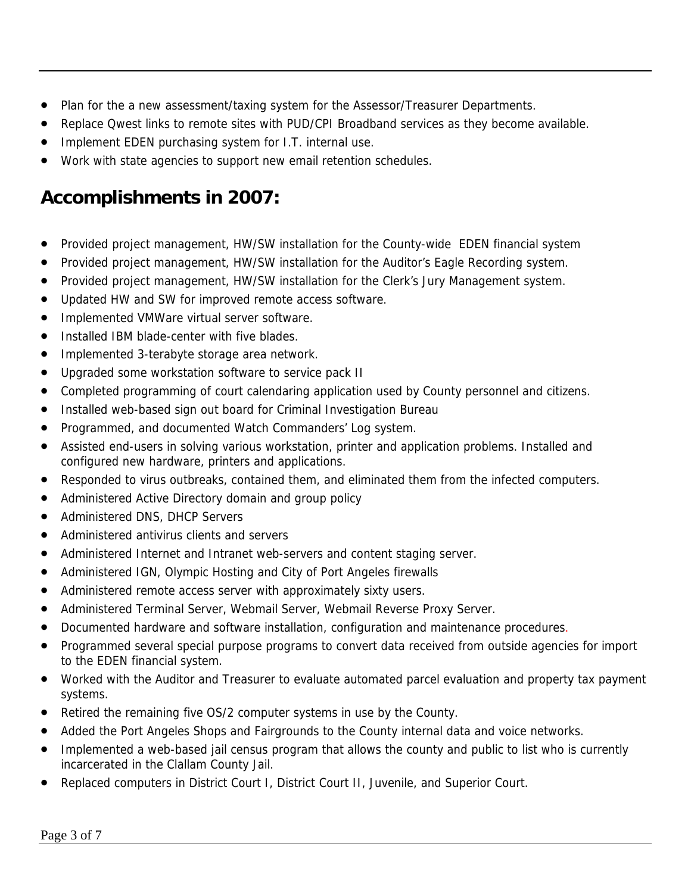- Plan for the a new assessment/taxing system for the Assessor/Treasurer Departments.
- Replace Qwest links to remote sites with PUD/CPI Broadband services as they become available.
- Implement EDEN purchasing system for I.T. internal use.
- Work with state agencies to support new email retention schedules.

### **Accomplishments in 2007:**

- Provided project management, HW/SW installation for the County-wide EDEN financial system
- Provided project management, HW/SW installation for the Auditor's Eagle Recording system.
- Provided project management, HW/SW installation for the Clerk's Jury Management system.
- Updated HW and SW for improved remote access software.
- Implemented VMWare virtual server software.
- Installed IBM blade-center with five blades.
- Implemented 3-terabyte storage area network.
- Upgraded some workstation software to service pack II
- Completed programming of court calendaring application used by County personnel and citizens.
- Installed web-based sign out board for Criminal Investigation Bureau
- Programmed, and documented Watch Commanders' Log system.
- Assisted end-users in solving various workstation, printer and application problems. Installed and configured new hardware, printers and applications.
- Responded to virus outbreaks, contained them, and eliminated them from the infected computers.
- Administered Active Directory domain and group policy
- Administered DNS, DHCP Servers
- Administered antivirus clients and servers
- Administered Internet and Intranet web-servers and content staging server.
- Administered IGN, Olympic Hosting and City of Port Angeles firewalls
- Administered remote access server with approximately sixty users.
- Administered Terminal Server, Webmail Server, Webmail Reverse Proxy Server.
- Documented hardware and software installation, configuration and maintenance procedures.
- Programmed several special purpose programs to convert data received from outside agencies for import to the EDEN financial system.
- Worked with the Auditor and Treasurer to evaluate automated parcel evaluation and property tax payment systems.
- Retired the remaining five OS/2 computer systems in use by the County.
- Added the Port Angeles Shops and Fairgrounds to the County internal data and voice networks.
- Implemented a web-based jail census program that allows the county and public to list who is currently incarcerated in the Clallam County Jail.
- Replaced computers in District Court I, District Court II, Juvenile, and Superior Court.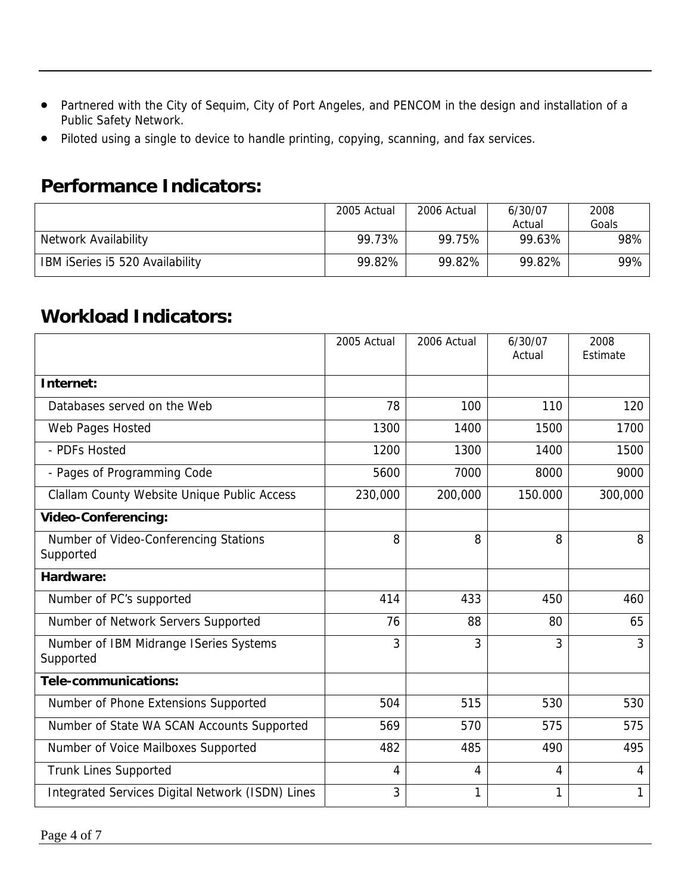- Partnered with the City of Sequim, City of Port Angeles, and PENCOM in the design and installation of a Public Safety Network.
- Piloted using a single to device to handle printing, copying, scanning, and fax services.

#### **Performance Indicators:**

|                                 | 2005 Actual | 2006 Actual | 6/30/07 | 2008  |
|---------------------------------|-------------|-------------|---------|-------|
|                                 |             |             | Actual  | Goals |
| Network Availability            | 99.73%      | 99.75%      | 99.63%  | 98%   |
| IBM iSeries i5 520 Availability | 99.82%      | 99.82%      | 99.82%  | 99%   |

#### **Workload Indicators:**

|                                                     | 2005 Actual | 2006 Actual | 6/30/07<br>Actual | 2008<br>Estimate |
|-----------------------------------------------------|-------------|-------------|-------------------|------------------|
| Internet:                                           |             |             |                   |                  |
| Databases served on the Web                         | 78          | 100         | 110               | 120              |
| Web Pages Hosted                                    | 1300        | 1400        | 1500              | 1700             |
| - PDFs Hosted                                       | 1200        | 1300        | 1400              | 1500             |
| - Pages of Programming Code                         | 5600        | 7000        | 8000              | 9000             |
| Clallam County Website Unique Public Access         | 230,000     | 200,000     | 150.000           | 300,000          |
| <b>Video-Conferencing:</b>                          |             |             |                   |                  |
| Number of Video-Conferencing Stations<br>Supported  | 8           | 8           | 8                 | 8                |
| Hardware:                                           |             |             |                   |                  |
| Number of PC's supported                            | 414         | 433         | 450               | 460              |
| Number of Network Servers Supported                 | 76          | 88          | 80                | 65               |
| Number of IBM Midrange ISeries Systems<br>Supported | 3           | 3           | 3                 | 3                |
| Tele-communications:                                |             |             |                   |                  |
| Number of Phone Extensions Supported                | 504         | 515         | 530               | 530              |
| Number of State WA SCAN Accounts Supported          | 569         | 570         | 575               | 575              |
| Number of Voice Mailboxes Supported                 | 482         | 485         | 490               | 495              |
| <b>Trunk Lines Supported</b>                        | 4           | 4           | 4                 | 4                |
| Integrated Services Digital Network (ISDN) Lines    | 3           | 1           | 1                 |                  |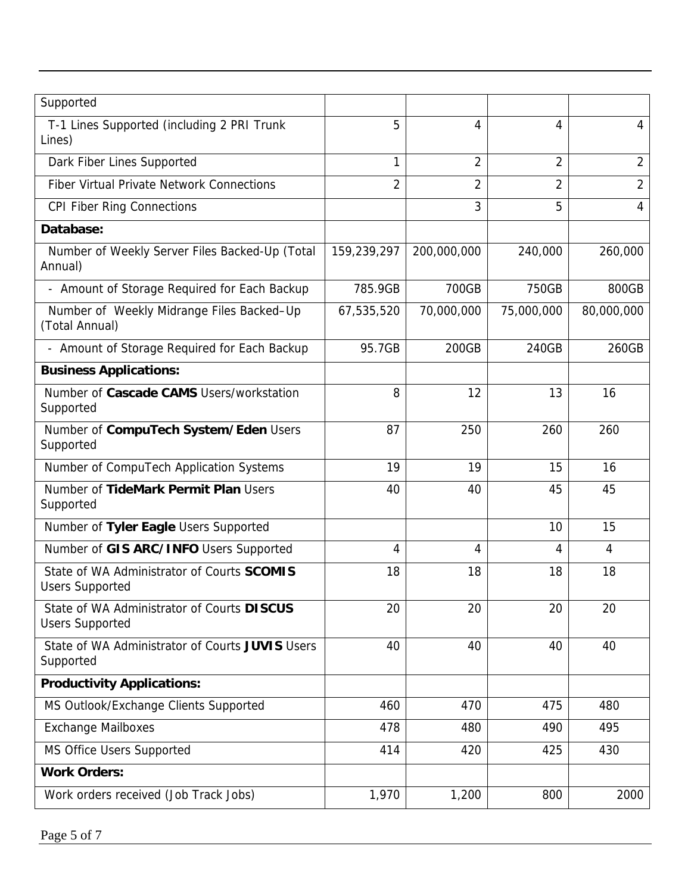| Supported                                                            |                |                |                |                |
|----------------------------------------------------------------------|----------------|----------------|----------------|----------------|
| T-1 Lines Supported (including 2 PRI Trunk<br>Lines)                 | 5              | $\overline{4}$ | 4              | $\overline{4}$ |
| Dark Fiber Lines Supported                                           | 1              | $\overline{2}$ | $\overline{2}$ | $\overline{2}$ |
| <b>Fiber Virtual Private Network Connections</b>                     | $\overline{2}$ | $\overline{2}$ | $\overline{2}$ | $\overline{2}$ |
| <b>CPI Fiber Ring Connections</b>                                    |                | 3              | 5              | $\overline{4}$ |
| Database:                                                            |                |                |                |                |
| Number of Weekly Server Files Backed-Up (Total<br>Annual)            | 159,239,297    | 200,000,000    | 240,000        | 260,000        |
| - Amount of Storage Required for Each Backup                         | 785.9GB        | 700GB          | 750GB          | 800GB          |
| Number of Weekly Midrange Files Backed-Up<br>(Total Annual)          | 67,535,520     | 70,000,000     | 75,000,000     | 80,000,000     |
| - Amount of Storage Required for Each Backup                         | 95.7GB         | 200GB          | 240GB          | 260GB          |
| <b>Business Applications:</b>                                        |                |                |                |                |
| Number of Cascade CAMS Users/workstation<br>Supported                | 8              | 12             | 13             | 16             |
| Number of CompuTech System/Eden Users<br>Supported                   | 87             | 250            | 260            | 260            |
| Number of CompuTech Application Systems                              | 19             | 19             | 15             | 16             |
| Number of TideMark Permit Plan Users<br>Supported                    | 40             | 40             | 45             | 45             |
| Number of Tyler Eagle Users Supported                                |                |                | 10             | 15             |
| Number of GIS ARC/INFO Users Supported                               | 4              | 4              | 4              | 4              |
| State of WA Administrator of Courts SCOMIS<br><b>Users Supported</b> | 18             | 18             | 18             | 18             |
| State of WA Administrator of Courts DISCUS<br><b>Users Supported</b> | 20             | 20             | 20             | 20             |
| State of WA Administrator of Courts JUVIS Users<br>Supported         | 40             | 40             | 40             | 40             |
| <b>Productivity Applications:</b>                                    |                |                |                |                |
| MS Outlook/Exchange Clients Supported                                | 460            | 470            | 475            | 480            |
| <b>Exchange Mailboxes</b>                                            | 478            | 480            | 490            | 495            |
| MS Office Users Supported                                            | 414            | 420            | 425            | 430            |
| <b>Work Orders:</b>                                                  |                |                |                |                |
| Work orders received (Job Track Jobs)                                | 1,970          | 1,200          | 800            | 2000           |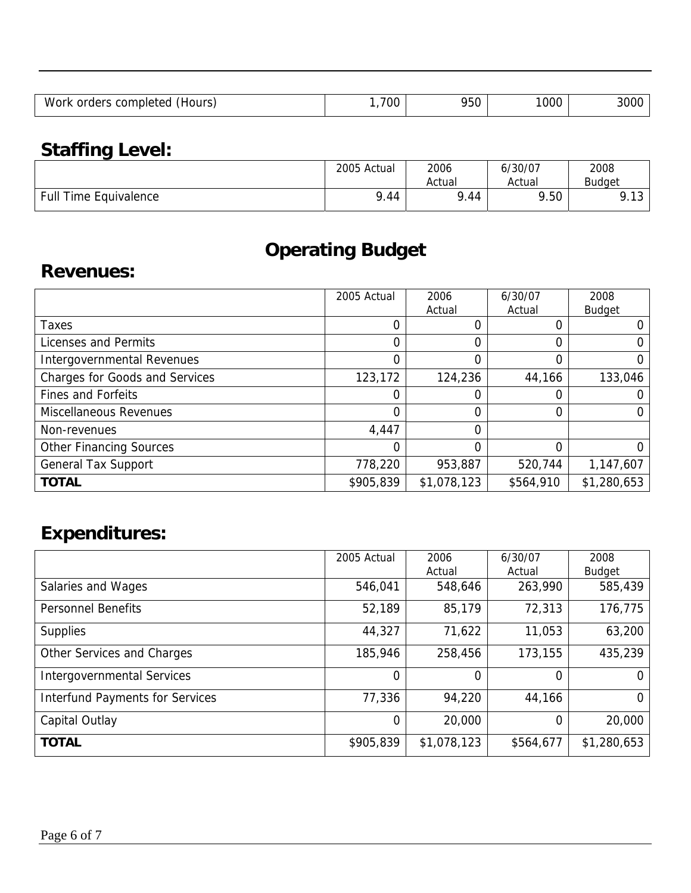| 950<br>1000<br>700<br>Work<br>orders completed<br>(Hours, |  |  |      |
|-----------------------------------------------------------|--|--|------|
|                                                           |  |  | 300C |

## **Staffing Level:**

|                              | 2005 Actual | 2006   | 6/30/07 | 2008                        |
|------------------------------|-------------|--------|---------|-----------------------------|
|                              |             | Actual | Actual  | Budaet                      |
| <b>Full Time Equivalence</b> | 9.44        | 9.44   | 9.50    | $\sim$<br>$\Omega$<br>ں ، ، |

## **Operating Budget**

#### **Revenues:**

|                                       | 2005 Actual | 2006        | 6/30/07   | 2008          |
|---------------------------------------|-------------|-------------|-----------|---------------|
|                                       |             | Actual      | Actual    | <b>Budget</b> |
| <b>Taxes</b>                          | 0           |             |           |               |
| Licenses and Permits                  | 0           | 0           | 0         |               |
| Intergovernmental Revenues            | 0           | 0           |           |               |
| <b>Charges for Goods and Services</b> | 123,172     | 124,236     | 44,166    | 133,046       |
| <b>Fines and Forfeits</b>             | 0           |             |           |               |
| <b>Miscellaneous Revenues</b>         | 0           | 0           |           |               |
| Non-revenues                          | 4,447       | 0           |           |               |
| <b>Other Financing Sources</b>        | 0           | 0           | 0         |               |
| <b>General Tax Support</b>            | 778,220     | 953,887     | 520,744   | 1,147,607     |
| <b>TOTAL</b>                          | \$905,839   | \$1,078,123 | \$564,910 | \$1,280,653   |

# **Expenditures:**

|                                        | 2005 Actual    | 2006        | 6/30/07   | 2008          |
|----------------------------------------|----------------|-------------|-----------|---------------|
|                                        |                | Actual      | Actual    | <b>Budget</b> |
| Salaries and Wages                     | 546,041        | 548,646     | 263,990   | 585,439       |
| <b>Personnel Benefits</b>              | 52,189         | 85,179      | 72,313    | 176,775       |
| <b>Supplies</b>                        | 44,327         | 71,622      | 11,053    | 63,200        |
| Other Services and Charges             | 185,946        | 258,456     | 173,155   | 435,239       |
| <b>Intergovernmental Services</b>      | 0              | 0           | 0         | 0             |
| <b>Interfund Payments for Services</b> | 77,336         | 94,220      | 44,166    | 0             |
| Capital Outlay                         | $\overline{0}$ | 20,000      | $\Omega$  | 20,000        |
| <b>TOTAL</b>                           | \$905,839      | \$1,078,123 | \$564,677 | \$1,280,653   |